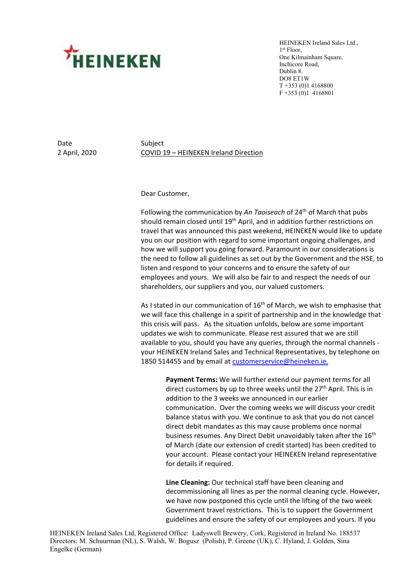

HEINEKEN Ireland Sales Ltd., 1st Floor, One Kilmainham Square, Inchicore Road, Dublin 8. DO8 ET1W T +353 (0)1 4168800 F +353 (0)1 4168801

Date Subject

2 April, 2020 COVID 19 – HEINEKEN Ireland Direction

## Dear Customer,

Following the communication by An Taoiseach of 24<sup>th</sup> of March that pubs should remain closed until 19<sup>th</sup> April, and in addition further restrictions on travel that was announced this past weekend, HEINEKEN would like to update you on our position with regard to some important ongoing challenges, and how we will support you going forward. Paramount in our considerations is the need to follow all guidelines as set out by the Government and the HSE, to listen and respond to your concerns and to ensure the safety of our employees and yours. We will also be fair to and respect the needs of our shareholders, our suppliers and you, our valued customers.

As I stated in our communication of  $16<sup>th</sup>$  of March, we wish to emphasise that we will face this challenge in a spirit of partnership and in the knowledge that this crisis will pass. As the situation unfolds, below are some important updates we wish to communicate. Please rest assured that we are still available to you, should you have any queries, through the normal channels your HEINEKEN Ireland Sales and Technical Representatives, by telephone on 1850 514455 and by email at [customerservice@heineken.ie.](mailto:customerservice@heineken.ie)

> **Payment Terms:** We will further extend our payment terms for all direct customers by up to three weeks until the  $27<sup>th</sup>$  April. This is in addition to the 3 weeks we announced in our earlier communication. Over the coming weeks we will discuss your credit balance status with you. We continue to ask that you do not cancel direct debit mandates as this may cause problems once normal business resumes. Any Direct Debit unavoidably taken after the 16<sup>th</sup> of March (date our extension of credit started) has been credited to your account. Please contact your HEINEKEN Ireland representative for details if required.

**Line Cleaning:** Our technical staff have been cleaning and decommissioning all lines as per the normal cleaning cycle. However, we have now postponed this cycle until the lifting of the two week Government travel restrictions. This is to support the Government guidelines and ensure the safety of our employees and yours. If you